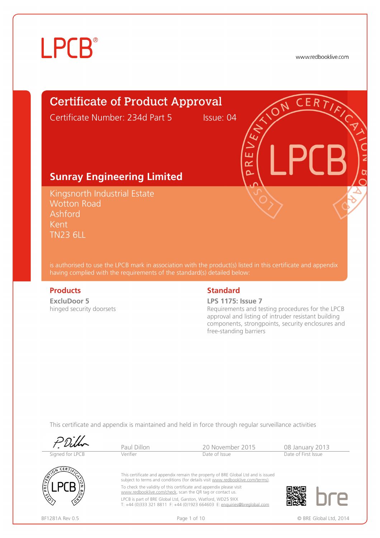www.redbooklive.com

## Certificate of Product Approval

Certificate Number: 234d Part 5 Issue: 04

ப œ Q

### **Sunray Engineering Limited**

Kingsnorth Industrial Estate Wotton Road Ashford Kent TN23 6LL

is authorised to use the LPCB mark in association with the product(s) listed in this certificate and appendix having complied with the requirements of the standard(s) detailed below:

**ExcluDoor 5** hinged security doorsets

### **Products** Standard

**LPS 1175: Issue 7**

Requirements and testing procedures for the LPCB approval and listing of intruder resistant building components, strongpoints, security enclosures and free-standing barriers

This certificate and appendix is maintained and held in force through regular surveillance activities

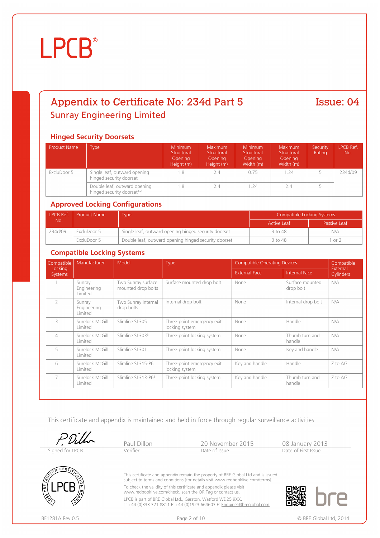### Appendix to Certificate No: 234d Part 5 **Sunray Engineering Limited**

Issue: 04

### **Hinged Security Doorsets**

| Product Name | Type i                                                                 | <b>Minimum</b><br>Structural<br>Opening<br>Height (m) | <b>Maximum</b><br>Structural<br>Opening<br>Height (m) | <b>Minimum</b><br>Structural<br><b>Opening</b><br>Width (m) | Maximum<br>Structural<br>Opening<br>Width (m) | Security<br>Rating | LPCB Ref.<br>No. |
|--------------|------------------------------------------------------------------------|-------------------------------------------------------|-------------------------------------------------------|-------------------------------------------------------------|-----------------------------------------------|--------------------|------------------|
| ExcluDoor 5  | Single leaf, outward opening<br>hinged security doorset                | 1.8                                                   | 2.4                                                   | 0.75                                                        | 1.24                                          |                    | 234d/09          |
|              | Double leaf, outward opening<br>hinged security doorset <sup>1,2</sup> | 1.8                                                   | 2.4                                                   | 1.24                                                        | 2.4                                           |                    |                  |

#### **Approved Locking Configurations**

|         | LPCB Ref. Product Name | <b>Type</b>                                          | Compatible Locking Systems |              |
|---------|------------------------|------------------------------------------------------|----------------------------|--------------|
| No.     |                        |                                                      | <b>Active Leaf</b>         | Passive Leaf |
| 234d/09 | ExcluDoor 5            | Single leaf, outward opening hinged security doorset | 3 to 48                    | N/A          |
|         | ExcluDoor 5            | Double leaf, outward opening hinged security doorset | 3 to 48                    | or 2         |

### **Compatible Locking Systems**

| Compatible<br>Manufacturer |                                  | Model                                    | Type                                         | <b>Compatible Operating Devices</b> |                              | Compatible<br>External |  |
|----------------------------|----------------------------------|------------------------------------------|----------------------------------------------|-------------------------------------|------------------------------|------------------------|--|
| Locking<br>Systems         |                                  |                                          |                                              | <b>External Face</b>                | <b>Internal Face</b>         | Cylinders              |  |
|                            | Sunray<br>Engineering<br>Limited | Two Sunray surface<br>mounted drop bolts | Surface mounted drop bolt                    | None                                | Surface mounted<br>drop bolt | N/A                    |  |
| $\overline{2}$             | Sunray<br>Engineering<br>Limited | Two Sunray internal<br>drop bolts        | Internal drop bolt                           | None                                | Internal drop bolt           | N/A                    |  |
| 3                          | Surelock McGill<br>Limited       | Slimline SL305                           | Three-point emergency exit<br>locking system | None                                | Handle                       | N/A                    |  |
| $\Delta$                   | Surelock McGill<br>Limited       | Slimline SL3033                          | Three-point locking system                   | None                                | Thumb turn and<br>handle     | N/A                    |  |
| 5                          | Surelock McGill<br>Limited       | Slimline SL301                           | Three-point locking system                   | None                                | Key and handle               | N/A                    |  |
| 6                          | Surelock McGill<br>Limited       | Slimline SL315-P6                        | Three-point emergency exit<br>locking system | Key and handle                      | Handle                       | Z to AG                |  |
| $\overline{7}$             | Surelock McGill<br>Limited       | Slimline SL313-P63                       | Three-point locking system                   | Key and handle                      | Thumb turn and<br>handle     | Z to AG                |  |

This certificate and appendix is maintained and held in force through regular surveillance activities

Signed for LPCB Verifier Verifier Date of Issue Date of Issue Date of First Issue

Paul Dillon 20 November 2015 08 January 2013<br>
Verifier Christian Date of Issue Date of First Issue



This certificate and appendix remain the property of BRE Global Ltd and is issued subject to terms and conditions (for details visit [www.redbooklive.com/terms\)](http://www.redbooklive.com/terms)). To check the validity of this certificate and appendix please visit [www.redbooklive.com/check,](http://www.redbooklive.com/check) scan the QR Tag or contact us.

LPCB is part of BRE Global Ltd., Garston, Watford WD25 9XX. T: +44 (0)333 321 8811 F: +44 (0)1923 664603 E: [Enquiries@breglobal.com](mailto:Enquiries@breglobal.com) 



BF1281A Rev 0.5 **Page 2 of 10** Page 2 of 10 **CONFINGUARY CONFINENT CONFINENT CONFINENT CONFINENT CONFIDENTIAL PAGE CONFINENT CONFIDENTIAL POINT CONFIDENTIAL PAGE CONFINENT CONFIDENTIAL POINT CONFIDENT CONFIDENT CONFIDENTIA**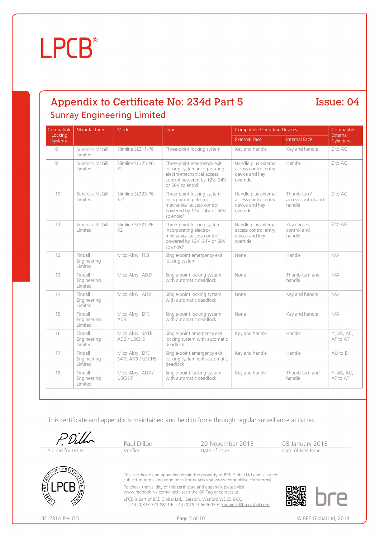Issue: 04

| Compatible         | Manufacturer<br>Model<br>Type     |                                         |                                                                                                                                                        | <b>Compatible Operating Devices</b>                                        |                                             | Compatible                   |
|--------------------|-----------------------------------|-----------------------------------------|--------------------------------------------------------------------------------------------------------------------------------------------------------|----------------------------------------------------------------------------|---------------------------------------------|------------------------------|
| Locking<br>Systems |                                   |                                         |                                                                                                                                                        | <b>External Face</b>                                                       | <b>Internal Face</b>                        | <b>External</b><br>Cylinders |
| 8                  | Surelock McGill<br>Limited        | Slimline SL311-P6                       | Three-point locking system                                                                                                                             | Key and handle                                                             | Key and handle                              | Z to AG                      |
| 9                  | Surelock McGill<br>Limited        | Slimline SL325-P6-<br>K <sub>2</sub>    | Three-point emergency exit<br>locking system incorporating<br>electro-mechanical access<br>control powered by 12V, 24V<br>or 50V solenoid <sup>4</sup> | Handle plus external<br>access control entry<br>device and key<br>override | Handle                                      | Z to AG                      |
| 10                 | Surelock McGill<br>Limited        | Slimline SL323-P6-<br>K2 <sup>3</sup>   | Three-point locking system<br>incorporating electro-<br>mechanical access control<br>powered by 12V, 24V or 50V<br>solenoid <sup>4</sup>               | Handle plus external<br>access control entry<br>device and key<br>override | Thumb turn/<br>access control and<br>handle | Z to AG                      |
| 11                 | Surelock McGill<br>Limited        | Slimline SL321-P6-<br>K2                | Three-point locking system<br>incorporating electro-<br>mechanical access control<br>powered by 12V, 24V or 50V<br>solenoid <sup>4</sup>               | Handle plus external<br>access control entry<br>device and key<br>override | Key / access<br>control and<br>handle       | Z to AG                      |
| 12                 | Tindall<br>Engineering<br>Limited | Mico Abryll PE3                         | Single-point emergency exit<br>locking system                                                                                                          | None                                                                       | Handle                                      | N/A                          |
| 13                 | Tindall<br>Engineering<br>Limited | Mico Abryll AD33                        | Single-point locking system<br>with automatic deadlock                                                                                                 | None                                                                       | Thumb turn and<br>handle                    | N/A                          |
| 14                 | Tindall<br>Engineering<br>Limited | Mico Abryll AD3                         | Single-point locking system<br>with automatic deadlock                                                                                                 | None                                                                       | Key and handle                              | N/A                          |
| 15                 | Tindall<br>Engineering<br>Limited | Mico Abryll EPC<br>AD3                  | Single-point locking system<br>with automatic deadlock                                                                                                 | None                                                                       | Key and handle                              | N/A                          |
| 16                 | Tindall<br>Engineering<br>Limited | Mico Abryll SATE<br>AD3 / USCH5         | Single-point emergency exit<br>locking system with automatic<br>deadlock                                                                               | Key and handle                                                             | Handle                                      | Y, AB, AC,<br>AF to AT       |
| 17                 | Tindall<br>Engineering<br>Limited | Mico Abryll EPC<br>SATE AD3 / USCH5     | Single-point emergency exit<br>locking system with automatic<br>deadlock                                                                               | Key and handle                                                             | Handle                                      | AU to BH                     |
| 18                 | Tindall<br>Engineering<br>Limited | Mico Abryll AD3 /<br>USCH5 <sup>3</sup> | Single-point locking system<br>with automatic deadlock                                                                                                 | Key and handle                                                             | Thumb turn and<br>handle                    | Y, AB, AC,<br>AF to AT       |

This certificate and appendix is maintained and held in force through regular surveillance activities

Paul Dillon 20 November 2015 08 January 2013<br>
Verifier Christian Date of Issue Date of First Issue Signed for LPCB Verifier Verifier Date of Issue Date of Issue Date of First Issue



This certificate and appendix remain the property of BRE Global Ltd and is issued subject to terms and conditions (for details visit [www.redbooklive.com/terms\)](http://www.redbooklive.com/terms)). To check the validity of this certificate and appendix please visit [www.redbooklive.com/check,](http://www.redbooklive.com/check) scan the QR Tag or contact us.

LPCB is part of BRE Global Ltd., Garston, Watford WD25 9XX. T: +44 (0)333 321 8811 F: +44 (0)1923 664603 E: [Enquiries@breglobal.com](mailto:Enquiries@breglobal.com) 

BF1281A Rev 0.5 **Page 3 of 10** Page 3 of 10 **Page 3 of 10 C** BRE Global Ltd, 2014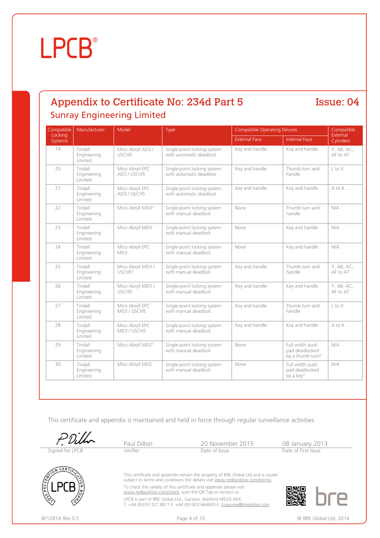Issue: 04

| Compatible         | Manufacturer                      | Model                                   | Type                                                   | <b>Compatible Operating Devices</b> |                                                                   | Compatible                   |
|--------------------|-----------------------------------|-----------------------------------------|--------------------------------------------------------|-------------------------------------|-------------------------------------------------------------------|------------------------------|
| Locking<br>Systems |                                   |                                         |                                                        | <b>External Face</b>                | <b>Internal Face</b>                                              | <b>External</b><br>Cylinders |
| 19                 | Tindall<br>Engineering<br>Limited | Mico Abryll AD3 /<br>USCH5              | Single-point locking system<br>with automatic deadlock | Key and handle                      | Key and handle                                                    | Y, AB, AC,<br>AF to AT       |
| 20                 | Tindall<br>Engineering<br>Limited | Mico Abryll EPC<br>AD3 / USCH5          | Single-point locking system<br>with automatic deadlock | Key and handle                      | Thumb turn and<br>handle                                          | L to X                       |
| 21                 | Tindall<br>Engineering<br>Limited | Mico Abryll EPC<br>AD3 / USCH5          | Single-point locking system<br>with automatic deadlock | Key and handle                      | Key and handle                                                    | A to K                       |
| 22                 | Tindall<br>Engineering<br>Limited | Mico Abryll MD33                        | Single-point locking system<br>with manual deadlock    | None                                | Thumb turn and<br>handle                                          | N/A                          |
| 23                 | Tindall<br>Engineering<br>Limited | Mico Abryll MD3                         | Single-point locking system<br>with manual deadlock    | None                                | Key and handle                                                    | N/A                          |
| 24                 | Tindall<br>Engineering<br>Limited | Mico Abryll EPC<br>MD3                  | Single-point locking system<br>with manual deadlock    | None                                | Key and handle                                                    | N/A                          |
| 25                 | Tindall<br>Engineering<br>Limited | Mico Abryll MD3 /<br>USCH <sub>53</sub> | Single-point locking system<br>with manual deadlock    | Key and handle                      | Thumb turn and<br>handle                                          | Y, AB, AC,<br>AF to AT       |
| 26                 | Tindall<br>Engineering<br>Limited | Mico Abryll MD3 /<br>USCH5              | Single-point locking system<br>with manual deadlock    | Key and handle                      | Key and handle                                                    | Y, AB, AC,<br>AF to AT       |
| 27                 | Tindall<br>Engineering<br>Limited | Mico Abryll EPC<br>MD3 / USCH5          | Single-point locking system<br>with manual deadlock    | Key and handle                      | Thumb turn and<br>handle                                          | L to X                       |
| 28                 | Tindall<br>Engineering<br>Limited | Mico Abryll EPC<br>MD3 / USCH5          | Single-point locking system<br>with manual deadlock    | Key and handle                      | Key and handle                                                    | A to K                       |
| 29                 | Tindall<br>Engineering<br>Limited | Mico Abryll MD2 <sup>3</sup>            | Single-point locking system<br>with manual deadlock    | None                                | Full width push<br>pad deadlocked<br>by a thumb turn <sup>5</sup> | N/A                          |
| 30                 | Tindall<br>Engineering<br>Limited | Mico Abryll MD2                         | Single-point locking system<br>with manual deadlock    | None                                | Full width push<br>pad deadlocked<br>by a key <sup>5</sup>        | N/A                          |

This certificate and appendix is maintained and held in force through regular surveillance activities

Paul Dillon 20 November 2015 08 January 2013<br>
Verifier Christian Date of Issue Date of First Issue Signed for LPCB Verifier Verifier Date of Issue Date of Issue Date of First Issue



This certificate and appendix remain the property of BRE Global Ltd and is issued subject to terms and conditions (for details visit [www.redbooklive.com/terms\)](http://www.redbooklive.com/terms)). To check the validity of this certificate and appendix please visit [www.redbooklive.com/check,](http://www.redbooklive.com/check) scan the QR Tag or contact us.

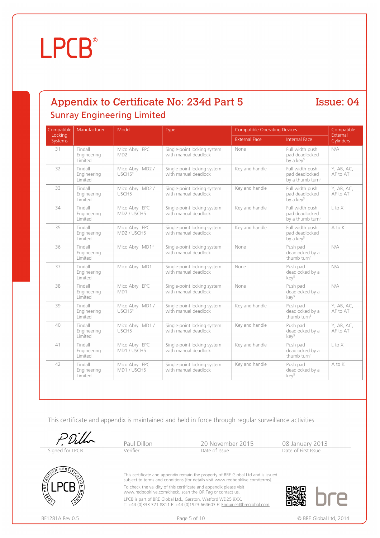Issue: 04

| Compatible         | Manufacturer                      | Model                                   | Type                                                | <b>Compatible Operating Devices</b> |                                                                   | Compatible                   |
|--------------------|-----------------------------------|-----------------------------------------|-----------------------------------------------------|-------------------------------------|-------------------------------------------------------------------|------------------------------|
| Locking<br>Systems |                                   |                                         |                                                     | <b>External Face</b>                | <b>Internal Face</b>                                              | <b>External</b><br>Cylinders |
| 31                 | Tindall<br>Engineering<br>Limited | Mico Abryll EPC<br>MD <sub>2</sub>      | Single-point locking system<br>with manual deadlock | None                                | Full width push<br>pad deadlocked<br>by a key <sup>5</sup>        | N/A                          |
| 32                 | Tindall<br>Engineering<br>Limited | Mico Abryll MD2 /<br>USCH5 <sup>3</sup> | Single-point locking system<br>with manual deadlock | Key and handle                      | Full width push<br>pad deadlocked<br>by a thumb turn <sup>5</sup> | Y, AB, AC,<br>AF to AT       |
| 33                 | Tindall<br>Engineering<br>Limited | Mico Abryll MD2 /<br>USCH5              | Single-point locking system<br>with manual deadlock | Key and handle                      | Full width push<br>pad deadlocked<br>by a key <sup>5</sup>        | Y, AB, AC,<br>AF to AT       |
| 34                 | Tindall<br>Engineering<br>Limited | Mico Abryll EPC<br>MD2 / USCH5          | Single-point locking system<br>with manual deadlock | Key and handle                      | Full width push<br>pad deadlocked<br>by a thumb turn <sup>5</sup> | $L$ to $X$                   |
| 35                 | Tindall<br>Engineering<br>Limited | Mico Abryll EPC<br>MD2 / USCH5          | Single-point locking system<br>with manual deadlock | Key and handle                      | Full width push<br>pad deadlocked<br>by a key <sup>5</sup>        | A to K                       |
| 36                 | Tindall<br>Engineering<br>Limited | Mico Abryll MD13                        | Single-point locking system<br>with manual deadlock | None                                | Push pad<br>deadlocked by a<br>thumb turn <sup>5</sup>            | N/A                          |
| 37                 | Tindall<br>Engineering<br>Limited | Mico Abryll MD1                         | Single-point locking system<br>with manual deadlock | None                                | Push pad<br>deadlocked by a<br>key <sup>5</sup>                   | N/A                          |
| 38                 | Tindall<br>Engineering<br>Limited | Mico Abryll EPC<br>MD1                  | Single-point locking system<br>with manual deadlock | None                                | Push pad<br>deadlocked by a<br>kev <sup>5</sup>                   | N/A                          |
| 39                 | Tindall<br>Engineering<br>Limited | Mico Abryll MD1 /<br>USCH5 <sup>3</sup> | Single-point locking system<br>with manual deadlock | Key and handle                      | Push pad<br>deadlocked by a<br>thumb turn <sup>5</sup>            | Y, AB, AC,<br>AF to AT       |
| 40                 | Tindall<br>Engineering<br>Limited | Mico Abryll MD1 /<br>USCH5              | Single-point locking system<br>with manual deadlock | Key and handle                      | Push pad<br>deadlocked by a<br>kev <sup>5</sup>                   | Y, AB, AC,<br>AF to AT       |
| 41                 | Tindall<br>Engineering<br>Limited | Mico Abryll EPC<br>MD1/USCH5            | Single-point locking system<br>with manual deadlock | Key and handle                      | Push pad<br>deadlocked by a<br>thumb turn <sup>5</sup>            | L to X                       |
| 42                 | Tindall<br>Engineering<br>Limited | Mico Abryll EPC<br>MD1/USCH5            | Single-point locking system<br>with manual deadlock | Key and handle                      | Push pad<br>deadlocked by a<br>key <sup>5</sup>                   | A to K                       |

This certificate and appendix is maintained and held in force through regular surveillance activities

Paul Dillon 20 November 2015 08 January 2013<br>
Verifier Christian Date of Issue Date of First Issue Signed for LPCB Verifier Verifier Date of Issue Date of Issue Date of First Issue



This certificate and appendix remain the property of BRE Global Ltd and is issued subject to terms and conditions (for details visit [www.redbooklive.com/terms\)](http://www.redbooklive.com/terms)). To check the validity of this certificate and appendix please visit [www.redbooklive.com/check,](http://www.redbooklive.com/check) scan the QR Tag or contact us.

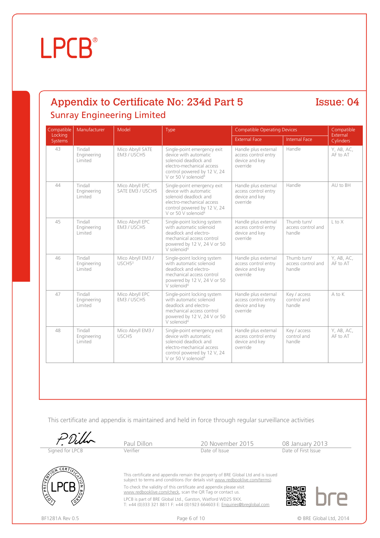Issue: 04

| Compatible         | Manufacturer<br>Model<br>Type     |                                         |                                                                                                                                                                              | <b>Compatible Operating Devices</b>                                        |                                             | Compatible                   |
|--------------------|-----------------------------------|-----------------------------------------|------------------------------------------------------------------------------------------------------------------------------------------------------------------------------|----------------------------------------------------------------------------|---------------------------------------------|------------------------------|
| Locking<br>Systems |                                   |                                         |                                                                                                                                                                              | <b>External Face</b>                                                       | <b>Internal Face</b>                        | External<br><b>Cylinders</b> |
| 43                 | Tindall<br>Engineering<br>Limited | Mico Abryll SATE<br>EM3 / USCH5         | Single-point emergency exit<br>device with automatic<br>solenoid deadlock and<br>electro-mechanical access<br>control powered by 12 V, 24<br>V or 50 V solenoid <sup>4</sup> | Handle plus external<br>access control entry<br>device and key<br>override | Handle                                      | Y, AB, AC,<br>AF to AT       |
| 44                 | Tindall<br>Engineering<br>Limited | Mico Abryll EPC<br>SATE EM3 / USCH5     | Single-point emergency exit<br>device with automatic<br>solenoid deadlock and<br>electro-mechanical access<br>control powered by 12 V, 24<br>V or 50 V solenoid <sup>4</sup> | Handle plus external<br>access control entry<br>device and key<br>override | Handle                                      | AU to BH                     |
| 45                 | Tindall<br>Engineering<br>Limited | Mico Abryll EPC<br>EM3 / USCH5          | Single-point locking system<br>with automatic solenoid<br>deadlock and electro-<br>mechanical access control<br>powered by 12 V, 24 V or 50<br>V solenoid <sup>4</sup>       | Handle plus external<br>access control entry<br>device and key<br>override | Thumb turn/<br>access control and<br>handle | L to X                       |
| 46                 | Tindall<br>Engineering<br>Limited | Mico Abryll EM3 /<br>USCH <sub>53</sub> | Single-point locking system<br>with automatic solenoid<br>deadlock and electro-<br>mechanical access control<br>powered by 12 V, 24 V or 50<br>V solenoid <sup>4</sup>       | Handle plus external<br>access control entry<br>device and key<br>override | Thumb turn/<br>access control and<br>handle | Y, AB, AC,<br>AF to AT       |
| 47                 | Tindall<br>Engineering<br>Limited | Mico Abryll EPC<br>EM3 / USCH5          | Single-point locking system<br>with automatic solenoid<br>deadlock and electro-<br>mechanical access control<br>powered by 12 V, 24 V or 50<br>$V$ solenoid <sup>4</sup>     | Handle plus external<br>access control entry<br>device and key<br>override | Key / access<br>control and<br>handle       | A to K                       |
| 48                 | Tindall<br>Engineering<br>Limited | Mico Abryll EM3 /<br>USCH5              | Single-point emergency exit<br>device with automatic<br>solenoid deadlock and<br>electro-mechanical access<br>control powered by 12 V, 24<br>V or 50 V solenoid <sup>4</sup> | Handle plus external<br>access control entry<br>device and key<br>override | Key / access<br>control and<br>handle       | Y, AB, AC,<br>AF to AT       |

This certificate and appendix is maintained and held in force through regular surveillance activities

Signed for LPCB Verifier Verifier Date of Issue Date of Issue Date of First Issue

Paul Dillon 20 November 2015 08 January 2013<br>
Verifier Christian Date of Issue Date of First Issue



This certificate and appendix remain the property of BRE Global Ltd and is issued subject to terms and conditions (for details visit [www.redbooklive.com/terms\)](http://www.redbooklive.com/terms)). To check the validity of this certificate and appendix please visit [www.redbooklive.com/check,](http://www.redbooklive.com/check) scan the QR Tag or contact us.

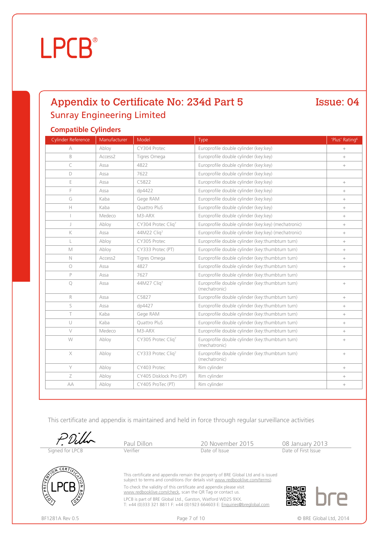### Appendix to Certificate No: 234d Part 5 **Sunray Engineering Limited**

Issue: 04

### **Compatible Cylinders**

| Cylinder Reference | Manufacturer | Model                   | <b>Type</b>                                                       | 'Plus' Rating <sup>6</sup> |
|--------------------|--------------|-------------------------|-------------------------------------------------------------------|----------------------------|
| А                  | Abloy        | CY304 Protec            | Europrofile double cylinder (key:key)                             | $^+$                       |
| B                  | Access2      | Tigres Omega            | Europrofile double cylinder (key:key)                             | $^{+}$                     |
| $\mathcal{C}$      | Assa         | 4822                    | Europrofile double cylinder (key:key)                             | $^{+}$                     |
| D                  | Assa         | 7622                    | Europrofile double cylinder (key:key)                             |                            |
| E                  | Assa         | C5822                   | Europrofile double cylinder (key:key)                             | $+$                        |
| F                  | Assa         | dp4422                  | Europrofile double cylinder (key:key)                             | $+$                        |
| G                  | Kaba         | Gege RAM                | Europrofile double cylinder (key:key)                             | $^{+}$                     |
| H                  | Kaba         | <b>Ouattro PluS</b>     | Europrofile double cylinder (key:key)                             | $+$                        |
| $\mathbf{I}$       | Medeco       | M3-ARX                  | Europrofile double cylinder (key:key)                             | $^{+}$                     |
| J                  | Ablov        | CY304 Protec Cliq7      | Europrofile double cylinder (key:key) (mechatronic)               | $\qquad \qquad +$          |
| K                  | Assa         | 44M22 Clig7             | Europrofile double cylinder (key:key) (mechatronic)               | $^{+}$                     |
| $\mathsf{L}$       | Abloy        | CY305 Protec            | Europrofile double cylinder (key:thumbturn turn)                  | $^{+}$                     |
| M                  | Abloy        | CY333 Protec (PT)       | Europrofile double cylinder (key:thumbturn turn)                  | $^{+}$                     |
| $\mathbb N$        | Access2      | Tigres Omega            | Europrofile double cylinder (key:thumbturn turn)                  | $^{+}$                     |
| $\circ$            | Assa         | 4827                    | Europrofile double cylinder (key:thumbturn turn)                  | $^{+}$                     |
| $\mathsf{P}$       | Assa         | 7627                    | Europrofile double cylinder (key:thumbturn turn)                  |                            |
| Q                  | Assa         | 44M27 Clig7             | Europrofile double cylinder (key:thumbturn turn)<br>(mechatronic) | $\! + \!\!\!\!$            |
| R                  | Assa         | C5827                   | Europrofile double cylinder (key:thumbturn turn)                  | $\qquad \qquad +$          |
| S                  | Assa         | dp4427                  | Europrofile double cylinder (key:thumbturn turn)                  | $^{+}$                     |
| T                  | Kaba         | Gege RAM                | Europrofile double cylinder (key:thumbturn turn)                  | $\qquad \qquad +$          |
| U                  | Kaba         | <b>Ouattro PluS</b>     | Europrofile double cylinder (key:thumbturn turn)                  | $^{+}$                     |
| $\vee$             | Medeco       | M3-ARX                  | Europrofile double cylinder (key:thumbturn turn)                  | $+$                        |
| W                  | Abloy        | CY305 Protec Clig7      | Europrofile double cylinder (key:thumbturn turn)<br>(mechatronic) | $^{+}$                     |
| $\times$           | Abloy        | CY333 Protec Cliq7      | Europrofile double cylinder (key:thumbturn turn)<br>(mechatronic) | $\! + \!\!\!\!$            |
| Y                  | Abloy        | CY403 Protec            | Rim cylinder                                                      | $+$                        |
| Z                  | Abloy        | CY405 Disklock Pro (DP) | Rim cylinder                                                      | $\qquad \qquad +$          |
| AA                 | Abloy        | CY405 ProTec (PT)       | Rim cylinder                                                      | $^{+}$                     |

This certificate and appendix is maintained and held in force through regular surveillance activities

Paul Dillon 20 November 2015 08 January 2013<br>
Verifier Christian Date of Issue Date of First Issue Signed for LPCB Verifier Verifier Date of Issue Date of Issue Date of First Issue



This certificate and appendix remain the property of BRE Global Ltd and is issued subject to terms and conditions (for details visit [www.redbooklive.com/terms\)](http://www.redbooklive.com/terms)). To check the validity of this certificate and appendix please visit [www.redbooklive.com/check,](http://www.redbooklive.com/check) scan the QR Tag or contact us.

LPCB is part of BRE Global Ltd., Garston, Watford WD25 9XX. T: +44 (0)333 321 8811 F: +44 (0)1923 664603 E: [Enquiries@breglobal.com](mailto:Enquiries@breglobal.com) 



BF1281A Rev 0.5 **Page 7 of 10** Page 7 of 10 **Page 7 of 10 C** BRE Global Ltd, 2014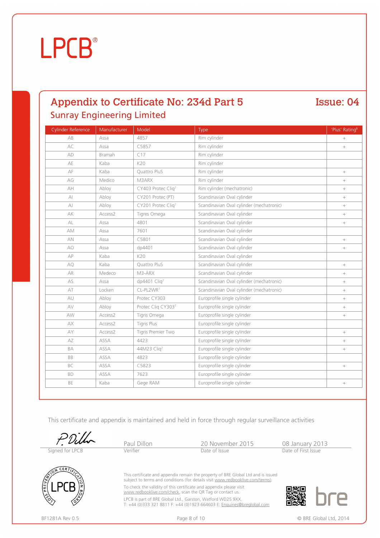### Appendix to Certificate No: 234d Part 5 **Sunray Engineering Limited**

Issue: 04

| Cylinder Reference | Manufacturer  | Model              | Type                                     | 'Plus' Rating <sup>6</sup> |
|--------------------|---------------|--------------------|------------------------------------------|----------------------------|
| AB                 | Assa          | 4857               | Rim cylinder                             | $\! +$                     |
| AC                 | Assa          | C5857              | Rim cylinder                             | $\! + \!\!\!\!$            |
| AD                 | <b>Bramah</b> | C <sub>17</sub>    | Rim cylinder                             |                            |
| AE                 | Kaba          | K20                | Rim cylinder                             |                            |
| AF                 | Kaba          | Quattro PluS       | Rim cylinder                             | $\! + \!\!\!\!$            |
| AG                 | Medico        | M3ARX              | Rim cylinder                             | $\! +$                     |
| AH                 | Abloy         | CY403 Protec Cliq7 | Rim cylinder (mechatronic)               | $^+$                       |
| $\mathsf{A}$       | Abloy         | CY201 Protec (PT)  | Scandinavian Oval cylinder               | $\! + \!\!\!\!$            |
| $\Delta$           | Abloy         | CY201 Protec Clia7 | Scandinavian Oval cylinder (mechatronic) | $\qquad \qquad +$          |
| AK                 | Access2       | Tigres Omega       | Scandinavian Oval cylinder               | $+$                        |
| AL                 | Assa          | 4801               | Scandinavian Oval cylinder               | $\! +$                     |
| АM                 | Assa          | 7601               | Scandinavian Oval cylinder               |                            |
| AN                 | Assa          | C5801              | Scandinavian Oval cylinder               | $\! +$                     |
| AO                 | Assa          | dp4401             | Scandinavian Oval cylinder               | $\! +$                     |
| AP                 | Kaba          | K20                | Scandinavian Oval cylinder               |                            |
| AQ                 | Kaba          | Quattro PluS       | Scandinavian Oval cylinder               | $\! + \!\!\!\!$            |
| AR                 | Medeco        | M3-ARX             | Scandinavian Oval cylinder               | $^+$                       |
| AS                 | Assa          | dp4401 Cliq7       | Scandinavian Oval cylinder (mechatronic) | $\! +$                     |
| AT                 | Locken        | CL-PL2WR7          | Scandinavian Oval cylinder (mechatronic) | $\! +$                     |
| AU                 | Abloy         | Protec CY303       | Europrofile single cylinder              | $\! +$                     |
| AV                 | Abloy         | Protec Cliq CY3037 | Europrofile single cylinder              | $+$                        |
| AW                 | Access2       | Tigris Omega       | Europrofile single cylinder              | $\! + \!\!\!\!$            |
| АX                 | Access2       | <b>Tigris Plus</b> | Europrofile single cylinder              |                            |
| AY                 | Access2       | Tigris Premier Two | Europrofile single cylinder              | $\! +$                     |
| AZ                 | ASSA          | 4423               | Europrofile single cylinder              | $\! +$                     |
| BA                 | ASSA          | 44M23 Clig7        | Europrofile single cylinder              | $\! + \!\!\!\!$            |
| <b>BB</b>          | ASSA          | 4823               | Europrofile single cylinder              |                            |
| BC                 | ASSA          | C5823              | Europrofile single cylinder              | $^+$                       |
| <b>BD</b>          | ASSA          | 7623               | Europrofile single cylinder              |                            |
| BE                 | Kaba          | Gege RAM           | Europrofile single cylinder              | $\! +$                     |

This certificate and appendix is maintained and held in force through regular surveillance activities

Paul Dillon 20 November 2015 08 January 2013<br>
Verifier Christian Date of Issue Date of First Issue Signed for LPCB Verifier Verifier Date of Issue Date of Issue Date of First Issue



This certificate and appendix remain the property of BRE Global Ltd and is issued subject to terms and conditions (for details visit [www.redbooklive.com/terms\)](http://www.redbooklive.com/terms)). To check the validity of this certificate and appendix please visit [www.redbooklive.com/check,](http://www.redbooklive.com/check) scan the QR Tag or contact us.

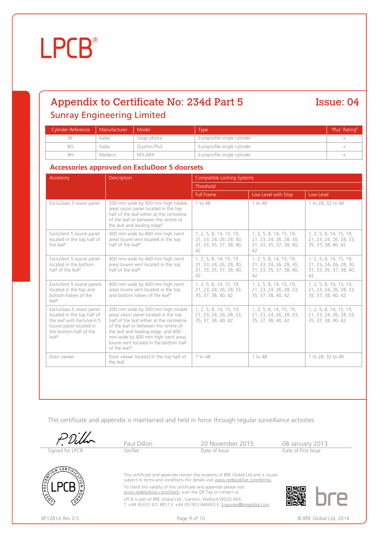## Appendix to Certificate No: 234d Part 5 **Sunray Engineering Limited**

### Issue: 04

| Cylinder Reference | Manufacturer | Model        | Type                        | 'Plus' Rating <sup>6</sup> |
|--------------------|--------------|--------------|-----------------------------|----------------------------|
| <b>BF</b>          | Kaba         | Gege pExtra  | Europrofile single cylinder |                            |
| BG                 | Kaba         | Ouattro PluS | Europrofile single cylinder |                            |
| BH                 | Medeco       | M3-ARX       | Europrofile single cylinder |                            |

#### **Accessories approved on ExcluDoor 5 doorsets**

| Accessory                                                                                                                                                      | Description                                                                                                                                                                                                                                                                                                         | <b>Compatible Locking Systems</b>                                                   |                                                                                     |                                                                                     |  |  |
|----------------------------------------------------------------------------------------------------------------------------------------------------------------|---------------------------------------------------------------------------------------------------------------------------------------------------------------------------------------------------------------------------------------------------------------------------------------------------------------------|-------------------------------------------------------------------------------------|-------------------------------------------------------------------------------------|-------------------------------------------------------------------------------------|--|--|
|                                                                                                                                                                |                                                                                                                                                                                                                                                                                                                     | Threshold                                                                           |                                                                                     |                                                                                     |  |  |
|                                                                                                                                                                |                                                                                                                                                                                                                                                                                                                     | <b>Full Frame</b>                                                                   | Low Level with Stop                                                                 | Low Level                                                                           |  |  |
| ExcluGlass 5 vision panel                                                                                                                                      | 200 mm wide by 300 mm high (visible<br>area) vision panel located in the top<br>half of the leaf either at the centreline<br>of the leaf or between the centre of<br>the leaf and leading edge <sup>8</sup>                                                                                                         | 1 to 48                                                                             | 1 to 48                                                                             | 1 to 28, 32 to 48                                                                   |  |  |
| ExcluVent 5 louvre panel<br>located in the top half of<br>the leaf <sup>2</sup>                                                                                | 400 mm wide by 400 mm high (vent<br>area) louvre vent located in the top<br>half of the leaf <sup>8</sup>                                                                                                                                                                                                           | 1, 2, 5, 8, 14, 15, 19,<br>21, 23, 24, 26, 28, 30,<br>31, 33, 35, 37, 38, 40,<br>42 | 1, 2, 5, 8, 14, 15, 19,<br>21, 23, 24, 26, 28, 30,<br>31, 33, 35, 37, 38, 40,<br>42 | 1, 2, 5, 8, 14, 15, 19,<br>21, 23, 24, 26, 28, 33,<br>35, 37, 38, 40, 42            |  |  |
| ExcluVent 5 louvre panel<br>located in the bottom<br>half of the leaf <sup>2</sup>                                                                             | 400 mm wide by 400 mm high (vent<br>area) louvre vent located in the top<br>half of the leaf <sup>8</sup>                                                                                                                                                                                                           | 1, 2, 5, 8, 14, 15, 19,<br>21, 23, 24, 26, 28, 30,<br>31, 33, 35, 37, 38, 40,<br>42 | 1, 2, 5, 8, 14, 15, 19,<br>21, 23, 24, 26, 28, 30,<br>31, 33, 35, 37, 38, 40,<br>42 | 1, 2, 5, 8, 14, 15, 19,<br>21, 23, 24, 26, 28, 30,<br>31, 33, 35, 37, 38, 40,<br>42 |  |  |
| ExcluVent 5 louvre panels<br>located in the top and<br>bottom halves of the<br>$A^2$                                                                           | 400 mm wide by 400 mm high (vent<br>area) louvre vent located in the top<br>and bottom halves of the leaf <sup>8</sup>                                                                                                                                                                                              | 1, 2, 5, 8, 14, 15, 19,<br>21, 23, 24, 26, 28, 33,<br>35, 37, 38, 40, 42            | 1, 2, 5, 8, 14, 15, 19,<br>21, 23, 24, 26, 28, 33,<br>35, 37, 38, 40, 42            | 1, 2, 5, 8, 14, 15, 19,<br>21, 23, 24, 26, 28, 33,<br>35, 37, 38, 40, 42            |  |  |
| ExcluGlass 5 vision panel<br>located in the top half of<br>the leaf with ExcluVent 5<br>louvre panel located in<br>the bottom half of the<br>leaf <sup>2</sup> | 200 mm wide by 300 mm high (visible<br>area) vision panel located in the top<br>half of the leaf either at the centreline<br>of the leaf or between the centre of<br>the leaf and leading edge, and 400<br>mm wide by 400 mm high (vent area)<br>louvre vent located in the bottom half<br>of the leaf <sup>8</sup> | 1, 2, 5, 8, 14, 15, 19,<br>21, 23, 24, 26, 28, 33,<br>35, 37, 38, 40, 42            | 1, 2, 5, 8, 14, 15, 19,<br>21, 23, 24, 26, 28, 33,<br>35, 37, 38, 40, 42            | 1, 2, 5, 8, 14, 15, 19,<br>21, 23, 24, 26, 28, 33,<br>35, 37, 38, 40, 42            |  |  |
| Door viewer                                                                                                                                                    | Door viewer located in the top half of<br>the leaf                                                                                                                                                                                                                                                                  | 1 to 48                                                                             | 1 to 48                                                                             | 1 to 28, 32 to 48                                                                   |  |  |

This certificate and appendix is maintained and held in force through regular surveillance activities

Signed for LPCB Verifier Verifier Date of Issue Date of Issue Date of First Issue

Paul Dillon 20 November 2015 08 January 2013<br>
Verifier Christian Date of Issue Date of First Issue



This certificate and appendix remain the property of BRE Global Ltd and is issued subject to terms and conditions (for details visit [www.redbooklive.com/terms\)](http://www.redbooklive.com/terms)). To check the validity of this certificate and appendix please visit [www.redbooklive.com/check,](http://www.redbooklive.com/check) scan the QR Tag or contact us.